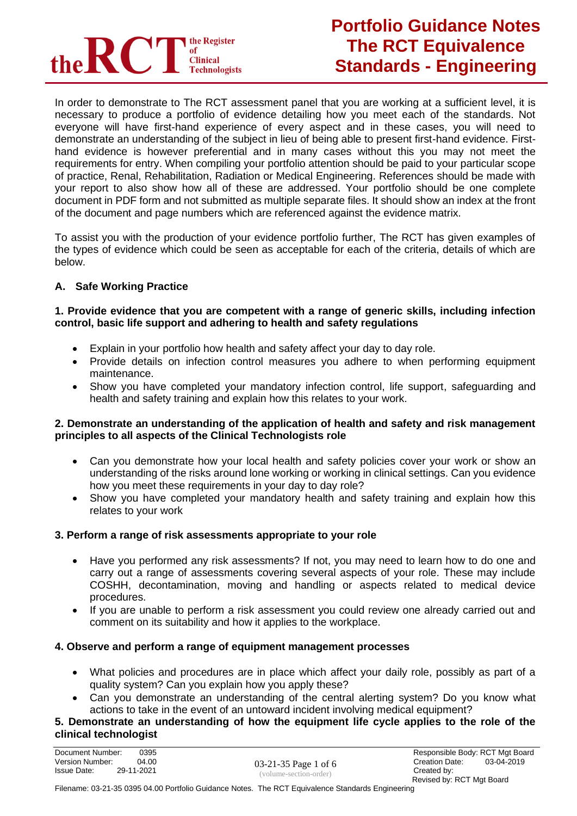

# **Portfolio Guidance Notes The RCT Equivalence Standards - Engineering**

In order to demonstrate to The RCT assessment panel that you are working at a sufficient level, it is necessary to produce a portfolio of evidence detailing how you meet each of the standards. Not everyone will have first-hand experience of every aspect and in these cases, you will need to demonstrate an understanding of the subject in lieu of being able to present first-hand evidence. Firsthand evidence is however preferential and in many cases without this you may not meet the requirements for entry. When compiling your portfolio attention should be paid to your particular scope of practice, Renal, Rehabilitation, Radiation or Medical Engineering. References should be made with your report to also show how all of these are addressed. Your portfolio should be one complete document in PDF form and not submitted as multiple separate files. It should show an index at the front of the document and page numbers which are referenced against the evidence matrix.

To assist you with the production of your evidence portfolio further, The RCT has given examples of the types of evidence which could be seen as acceptable for each of the criteria, details of which are below.

# **A. Safe Working Practice**

# **1. Provide evidence that you are competent with a range of generic skills, including infection control, basic life support and adhering to health and safety regulations**

- Explain in your portfolio how health and safety affect your day to day role.
- Provide details on infection control measures you adhere to when performing equipment maintenance.
- Show you have completed your mandatory infection control, life support, safeguarding and health and safety training and explain how this relates to your work.

# **2. Demonstrate an understanding of the application of health and safety and risk management principles to all aspects of the Clinical Technologists role**

- Can you demonstrate how your local health and safety policies cover your work or show an understanding of the risks around lone working or working in clinical settings. Can you evidence how you meet these requirements in your day to day role?
- Show you have completed your mandatory health and safety training and explain how this relates to your work

# **3. Perform a range of risk assessments appropriate to your role**

- Have you performed any risk assessments? If not, you may need to learn how to do one and carry out a range of assessments covering several aspects of your role. These may include COSHH, decontamination, moving and handling or aspects related to medical device procedures.
- If you are unable to perform a risk assessment you could review one already carried out and comment on its suitability and how it applies to the workplace.

#### **4. Observe and perform a range of equipment management processes**

- What policies and procedures are in place which affect your daily role, possibly as part of a quality system? Can you explain how you apply these?
- Can you demonstrate an understanding of the central alerting system? Do you know what actions to take in the event of an untoward incident involving medical equipment?

## **5. Demonstrate an understanding of how the equipment life cycle applies to the role of the clinical technologist**

Issue Date: 29-11-2021 (volume-section-order) Created by: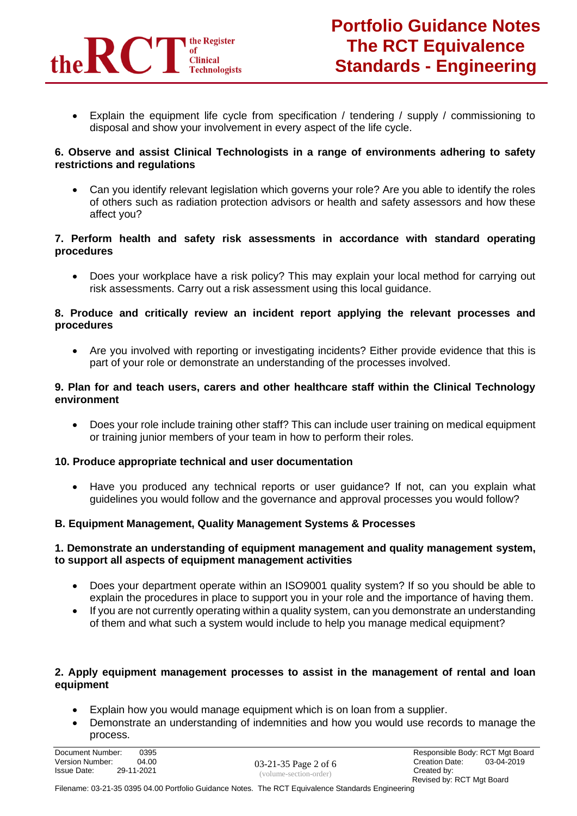

• Explain the equipment life cycle from specification / tendering / supply / commissioning to disposal and show your involvement in every aspect of the life cycle.

## **6. Observe and assist Clinical Technologists in a range of environments adhering to safety restrictions and regulations**

• Can you identify relevant legislation which governs your role? Are you able to identify the roles of others such as radiation protection advisors or health and safety assessors and how these affect you?

## **7. Perform health and safety risk assessments in accordance with standard operating procedures**

• Does your workplace have a risk policy? This may explain your local method for carrying out risk assessments. Carry out a risk assessment using this local guidance.

## **8. Produce and critically review an incident report applying the relevant processes and procedures**

• Are you involved with reporting or investigating incidents? Either provide evidence that this is part of your role or demonstrate an understanding of the processes involved.

## **9. Plan for and teach users, carers and other healthcare staff within the Clinical Technology environment**

• Does your role include training other staff? This can include user training on medical equipment or training junior members of your team in how to perform their roles.

# **10. Produce appropriate technical and user documentation**

• Have you produced any technical reports or user guidance? If not, can you explain what guidelines you would follow and the governance and approval processes you would follow?

# **B. Equipment Management, Quality Management Systems & Processes**

## **1. Demonstrate an understanding of equipment management and quality management system, to support all aspects of equipment management activities**

- Does your department operate within an ISO9001 quality system? If so you should be able to explain the procedures in place to support you in your role and the importance of having them.
- If you are not currently operating within a quality system, can you demonstrate an understanding of them and what such a system would include to help you manage medical equipment?

## **2. Apply equipment management processes to assist in the management of rental and loan equipment**

- Explain how you would manage equipment which is on loan from a supplier.
- Demonstrate an understanding of indemnities and how you would use records to manage the process.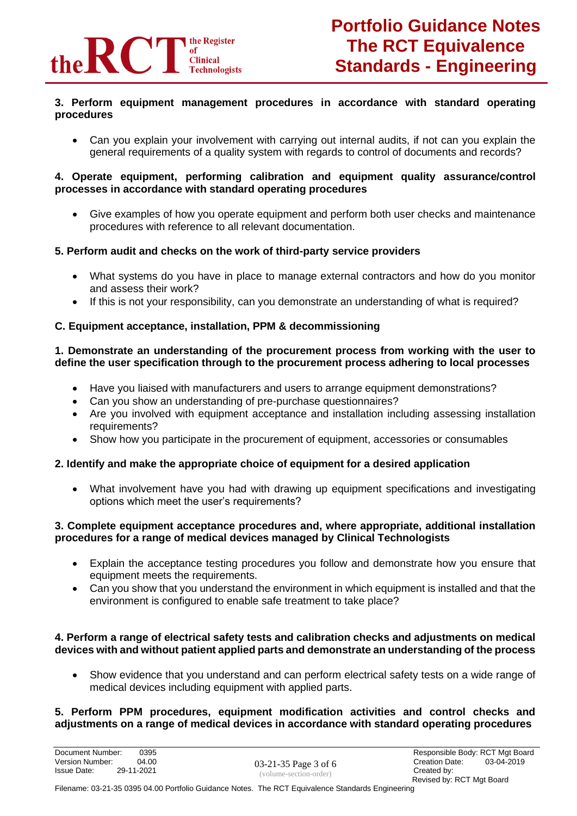

## **3. Perform equipment management procedures in accordance with standard operating procedures**

• Can you explain your involvement with carrying out internal audits, if not can you explain the general requirements of a quality system with regards to control of documents and records?

## **4. Operate equipment, performing calibration and equipment quality assurance/control processes in accordance with standard operating procedures**

• Give examples of how you operate equipment and perform both user checks and maintenance procedures with reference to all relevant documentation.

# **5. Perform audit and checks on the work of third-party service providers**

- What systems do you have in place to manage external contractors and how do you monitor and assess their work?
- If this is not your responsibility, can you demonstrate an understanding of what is required?

# **C. Equipment acceptance, installation, PPM & decommissioning**

## **1. Demonstrate an understanding of the procurement process from working with the user to define the user specification through to the procurement process adhering to local processes**

- Have you liaised with manufacturers and users to arrange equipment demonstrations?
- Can you show an understanding of pre-purchase questionnaires?
- Are you involved with equipment acceptance and installation including assessing installation requirements?
- Show how you participate in the procurement of equipment, accessories or consumables

# **2. Identify and make the appropriate choice of equipment for a desired application**

• What involvement have you had with drawing up equipment specifications and investigating options which meet the user's requirements?

## **3. Complete equipment acceptance procedures and, where appropriate, additional installation procedures for a range of medical devices managed by Clinical Technologists**

- Explain the acceptance testing procedures you follow and demonstrate how you ensure that equipment meets the requirements.
- Can you show that you understand the environment in which equipment is installed and that the environment is configured to enable safe treatment to take place?

## **4. Perform a range of electrical safety tests and calibration checks and adjustments on medical devices with and without patient applied parts and demonstrate an understanding of the process**

• Show evidence that you understand and can perform electrical safety tests on a wide range of medical devices including equipment with applied parts.

## **5. Perform PPM procedures, equipment modification activities and control checks and adjustments on a range of medical devices in accordance with standard operating procedures**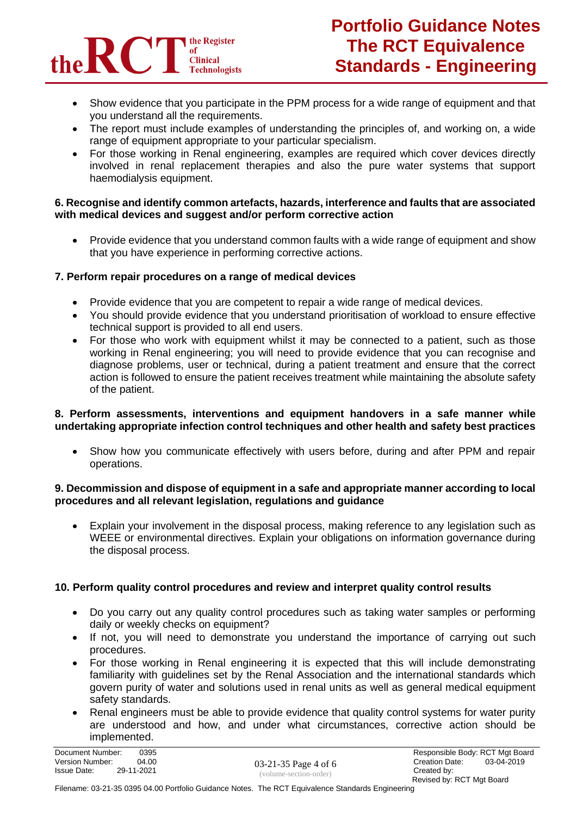

- Show evidence that you participate in the PPM process for a wide range of equipment and that you understand all the requirements.
- The report must include examples of understanding the principles of, and working on, a wide range of equipment appropriate to your particular specialism.
- For those working in Renal engineering, examples are required which cover devices directly involved in renal replacement therapies and also the pure water systems that support haemodialysis equipment.

## **6. Recognise and identify common artefacts, hazards, interference and faults that are associated with medical devices and suggest and/or perform corrective action**

• Provide evidence that you understand common faults with a wide range of equipment and show that you have experience in performing corrective actions.

## **7. Perform repair procedures on a range of medical devices**

- Provide evidence that you are competent to repair a wide range of medical devices.
- You should provide evidence that you understand prioritisation of workload to ensure effective technical support is provided to all end users.
- For those who work with equipment whilst it may be connected to a patient, such as those working in Renal engineering; you will need to provide evidence that you can recognise and diagnose problems, user or technical, during a patient treatment and ensure that the correct action is followed to ensure the patient receives treatment while maintaining the absolute safety of the patient.

## **8. Perform assessments, interventions and equipment handovers in a safe manner while undertaking appropriate infection control techniques and other health and safety best practices**

• Show how you communicate effectively with users before, during and after PPM and repair operations.

## **9. Decommission and dispose of equipment in a safe and appropriate manner according to local procedures and all relevant legislation, regulations and guidance**

• Explain your involvement in the disposal process, making reference to any legislation such as WEEE or environmental directives. Explain your obligations on information governance during the disposal process.

# **10. Perform quality control procedures and review and interpret quality control results**

- Do you carry out any quality control procedures such as taking water samples or performing daily or weekly checks on equipment?
- If not, you will need to demonstrate you understand the importance of carrying out such procedures.
- For those working in Renal engineering it is expected that this will include demonstrating familiarity with guidelines set by the Renal Association and the international standards which govern purity of water and solutions used in renal units as well as general medical equipment safety standards.
- Renal engineers must be able to provide evidence that quality control systems for water purity are understood and how, and under what circumstances, corrective action should be implemented.

Issue Date: 29-11-2021 (volume-section-order) Created by:

Filename: 03-21-35 0395 04.00 Portfolio Guidance Notes. The RCT Equivalence Standards Engineering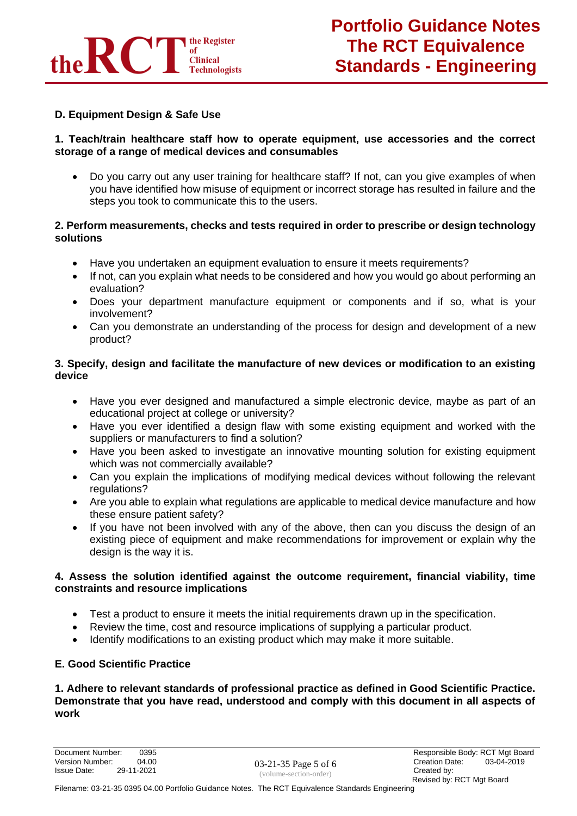

# **D. Equipment Design & Safe Use**

# **1. Teach/train healthcare staff how to operate equipment, use accessories and the correct storage of a range of medical devices and consumables**

• Do you carry out any user training for healthcare staff? If not, can you give examples of when you have identified how misuse of equipment or incorrect storage has resulted in failure and the steps you took to communicate this to the users.

# **2. Perform measurements, checks and tests required in order to prescribe or design technology solutions**

- Have you undertaken an equipment evaluation to ensure it meets requirements?
- If not, can you explain what needs to be considered and how you would go about performing an evaluation?
- Does your department manufacture equipment or components and if so, what is your involvement?
- Can you demonstrate an understanding of the process for design and development of a new product?

# **3. Specify, design and facilitate the manufacture of new devices or modification to an existing device**

- Have you ever designed and manufactured a simple electronic device, maybe as part of an educational project at college or university?
- Have you ever identified a design flaw with some existing equipment and worked with the suppliers or manufacturers to find a solution?
- Have you been asked to investigate an innovative mounting solution for existing equipment which was not commercially available?
- Can you explain the implications of modifying medical devices without following the relevant regulations?
- Are you able to explain what regulations are applicable to medical device manufacture and how these ensure patient safety?
- If you have not been involved with any of the above, then can you discuss the design of an existing piece of equipment and make recommendations for improvement or explain why the design is the way it is.

## **4. Assess the solution identified against the outcome requirement, financial viability, time constraints and resource implications**

- Test a product to ensure it meets the initial requirements drawn up in the specification.
- Review the time, cost and resource implications of supplying a particular product.
- Identify modifications to an existing product which may make it more suitable.

# **E. Good Scientific Practice**

**1. Adhere to relevant standards of professional practice as defined in Good Scientific Practice. Demonstrate that you have read, understood and comply with this document in all aspects of work**

Issue Date: 29-11-2021 (volume-section-order) Created by: